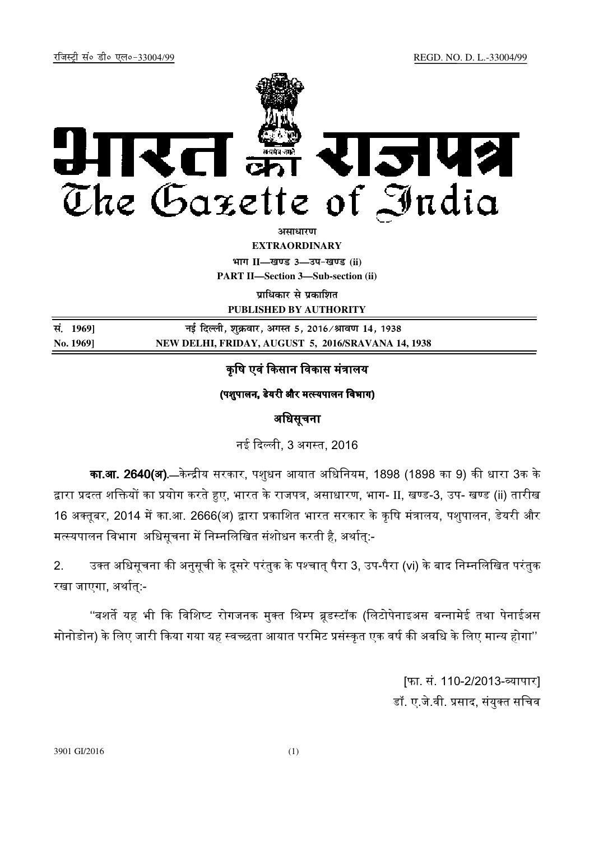

*<u>amanum</u>* 

**EXTRAORDINARY**

**Hkkx II—[k.M 3—mi&[k.M (ii) PART II—Section 3—Sub-section (ii)** 

**पाधिकार से पका**शित **PUBLISHED BY AUTHORITY**

| सं. 1969] | नई दिल्ली, शुक्रवार, अगस्त 5, 2016 ∕ श्रावण 14, 1938 |
|-----------|------------------------------------------------------|
| No. 1969] | NEW DELHI, FRIDAY, AUGUST 5, 2016/SRAVANA 14, 1938   |

# कृषि एवं किसान विकास मंत्रालय

(पशपालन, डेयरी और मत्स्यपालन विभाग)

## अधिसूचना

नई दली, 3 अगत, 2016

<mark>का.आ. 2640(अ).</mark>—केन्द्रीय सरकार, पशुधन आयात अधिनियम, 1898 (1898 का 9) की धारा 3क के द्वारा प्रदत्त शक्तियों का प्रयोग करते हुए, भारत के राजपत्र, असाधारण, भाग- II, खण्ड-3, उप- खण्ड (ii) तारीख 16 अक्तूबर, 2014 में का.आ. 2666(अ) द्वारा प्रकाशित भारत सरकार के कृषि मंत्रालय, पशुपालन, डेयरी और मत्स्यपालन विभाग अधिसूचना में निम्नलिखित संशोधन करती है, अर्थात्:-

2. उक्त अधिसूचना की अनुसूची के दुसरे परंतुक के पश्चात पैरा 3, उप-पैरा (vi) के बाद निम्नलिखित परंतुक रखा जाएगा, अर्थात्:-

''बशर्ते यह भी कि विशिष्ट रोगजनक मुक्त श्रिम्प ब्रुडस्टॉक (लिटोपेनाइअस बन्नामेई तथा पेनाईअस मोनोडोन) के लिए जारी किया गया यह स्वच्छता आयात परमिट प्रसंस्कृत एक वर्ष की अवधि के लिए मान्य होगा''

> [फा. सं. 110-2/2013-व्यापार**]** डॉ. ए.जे.वी. प्रसाद, संयुक्त सचिव